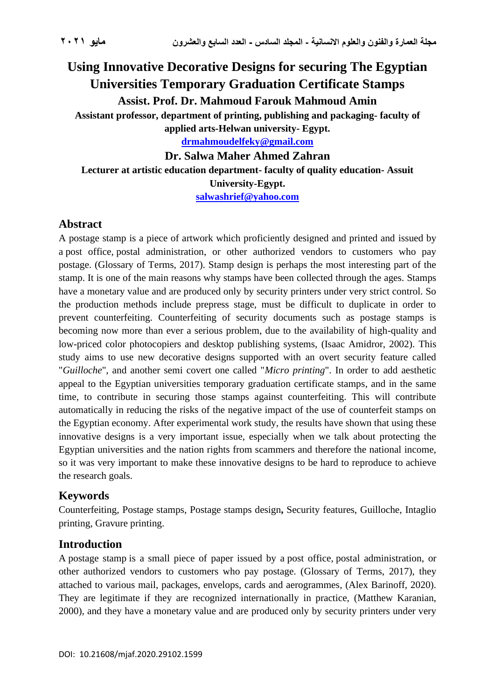# **Using Innovative Decorative Designs for securing The Egyptian Universities Temporary Graduation Certificate Stamps Assist. Prof. Dr. Mahmoud Farouk Mahmoud Amin Assistant professor, department of printing, publishing and packaging- faculty of applied arts-Helwan university- Egypt. [drmahmoudelfeky@gmail.com](mailto:drmahmoudelfeky@gmail.com) Dr. Salwa Maher Ahmed Zahran**

**Lecturer at artistic education department- faculty of quality education- Assuit University-Egypt. [salwashrief@yahoo.com](mailto:salwashrief@yahoo.com)**

## **Abstract**

A postage stamp is a piece of artwork which proficiently designed and printed and issued by a [post office,](https://worddisk.com/wiki/Post_office) [postal administration,](https://worddisk.com/wiki/Postal_administration) or other authorized vendors to customers who pay postage. [\(Glossary of Terms,](https://stamps.org/Glossary-of-Terms) 2017). Stamp design is perhaps the most interesting part of the stamp. It is one of the main reasons why stamps have been collected through the ages. Stamps have a monetary value and are produced only by security printers under very strict control. So the production methods include prepress stage, must be difficult to duplicate in order to prevent counterfeiting. Counterfeiting of security documents such as postage stamps is becoming now more than ever a serious problem, due to the availability of high-quality and low-priced color photocopiers and desktop publishing systems, (Isaac Amidror, 2002). This study aims to use new decorative designs supported with an overt security feature called "*Guilloche*", and another semi covert one called "*Micro printing*". In order to add aesthetic appeal to the Egyptian universities temporary graduation certificate stamps, and in the same time, to contribute in securing those stamps against counterfeiting. This will contribute automatically in reducing the risks of the negative impact of the use of counterfeit stamps on the Egyptian economy. After experimental work study, the results have shown that using these innovative designs is a very important issue, especially when we talk about protecting the Egyptian universities and the nation rights from scammers and therefore the national income, so it was very important to make these innovative designs to be hard to reproduce to achieve the research goals.

## **Keywords**

Counterfeiting, Postage stamps, Postage stamps design**,** Security features, Guilloche, Intaglio printing, Gravure printing.

### **Introduction**

A postage stamp is a small piece of paper issued by a [post office,](https://worddisk.com/wiki/Post_office) [postal administration,](https://worddisk.com/wiki/Postal_administration) or other authorized vendors to customers who pay postage. [\(Glossary of Terms,](https://stamps.org/Glossary-of-Terms) 2017), they attached to various mail, packages, envelops, cards and aerogrammes, (Alex Barinoff, 2020). They are legitimate if they are recognized internationally in practice, (Matthew Karanian, 2000), and they have a monetary value and are produced only by security printers under very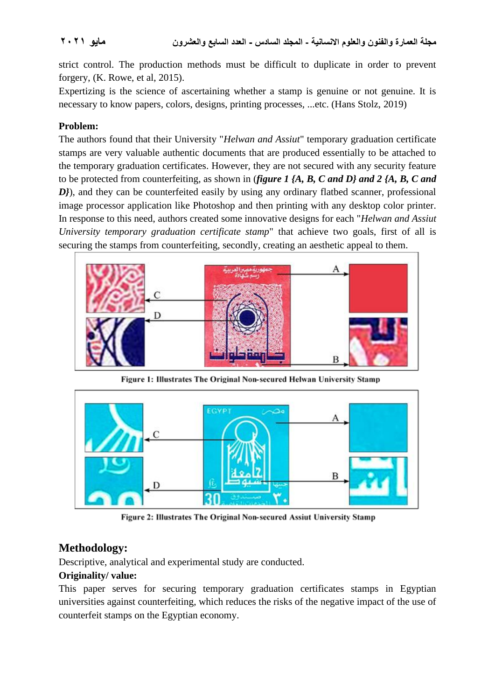strict control. The production methods must be difficult to duplicate in order to prevent forgery, [\(K. Rowe,](https://www.thecanadianencyclopedia.ca/en/author/k-rowe) et al, 2015).

Expertizing is the science of ascertaining whether a stamp is genuine or not genuine. It is necessary to know papers, colors, designs, printing processes, ...etc. (Hans Stolz, 2019)

#### **Problem:**

The authors found that their University "*Helwan and Assiut*" temporary graduation certificate stamps are very valuable authentic documents that are produced essentially to be attached to the temporary graduation certificates. However, they are not secured with any security feature to be protected from counterfeiting, as shown in (*figure 1 {A, B, C and D} and 2 {A, B, C and D<sub>i</sub>*), and they can be counterfeited easily by using any ordinary flatbed scanner, professional image processor application like Photoshop and then printing with any desktop color printer. In response to this need, authors created some innovative designs for each "*Helwan and Assiut University temporary graduation certificate stamp*" that achieve two goals, first of all is securing the stamps from counterfeiting, secondly, creating an aesthetic appeal to them.



Figure 1: Illustrates The Original Non-secured Helwan University Stamp



Figure 2: Illustrates The Original Non-secured Assiut University Stamp

## **Methodology:**

Descriptive, analytical and experimental study are conducted.

### **Originality/ value:**

This paper serves for securing temporary graduation certificates stamps in Egyptian universities against counterfeiting, which reduces the risks of the negative impact of the use of counterfeit stamps on the Egyptian economy.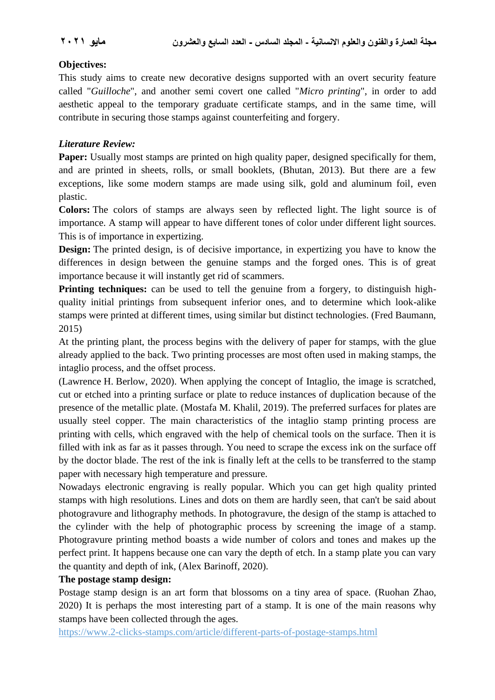### **Objectives:**

This study aims to create new decorative designs supported with an overt security feature called "*Guilloche*", and another semi covert one called "*Micro printing*", in order to add aesthetic appeal to the temporary graduate certificate stamps, and in the same time, will contribute in securing those stamps against counterfeiting and forgery.

### *Literature Review:*

**Paper:** Usually most stamps are printed on high quality paper, designed specifically for them, and are printed in sheets, rolls, or small booklets, (Bhutan, 2013). But there are a few exceptions, like some modern stamps are made using silk, gold and aluminum foil, even plastic.

**Colors:** The colors of stamps are always seen by reflected light. The light source is of importance. A stamp will appear to have different tones of color under different light sources. This is of importance in expertizing.

**Design:** The printed design, is of decisive importance, in expertizing you have to know the differences in design between the genuine stamps and the forged ones. This is of great importance because it will instantly get rid of scammers.

**Printing techniques:** can be used to tell the genuine from a forgery, to distinguish highquality initial printings from subsequent inferior ones, and to determine which look-alike stamps were printed at different times, using similar but distinct technologies. (Fred Baumann, 2015)

At the printing plant, the process begins with the delivery of paper for stamps, with the glue already applied to the back. Two printing processes are most often used in making stamps, the intaglio process, and the offset process.

(Lawrence H. Berlow, 2020). When applying the concept of Intaglio, the image is scratched, cut or etched into a printing surface or plate to reduce instances of duplication because of the presence of the metallic plate. (Mostafa M. Khalil, 2019). The preferred surfaces for plates are usually steel copper. The main characteristics of the intaglio stamp printing process are printing with cells, which engraved with the help of chemical tools on the surface. Then it is filled with ink as far as it passes through. You need to scrape the excess ink on the surface off by the doctor blade. The rest of the ink is finally left at the cells to be transferred to the stamp paper with necessary high temperature and pressure.

Nowadays electronic engraving is really popular. Which you can get high quality printed stamps with high resolutions. Lines and dots on them are hardly seen, that can't be said about photogravure and lithography methods. In photogravure, the design of the stamp is attached to the cylinder with the help of photographic process by screening the image of a stamp. Photogravure printing method boasts a wide number of colors and tones and makes up the perfect print. It happens because one can vary the depth of etch. In a stamp plate you can vary the quantity and depth of ink, (Alex Barinoff, 2020).

### **The postage stamp design:**

Postage stamp design is an art form that blossoms on a tiny area of space. (Ruohan Zhao, 2020) It is perhaps the most interesting part of a stamp. It is one of the main reasons why stamps have been collected through the ages.

<https://www.2-clicks-stamps.com/article/different-parts-of-postage-stamps.html>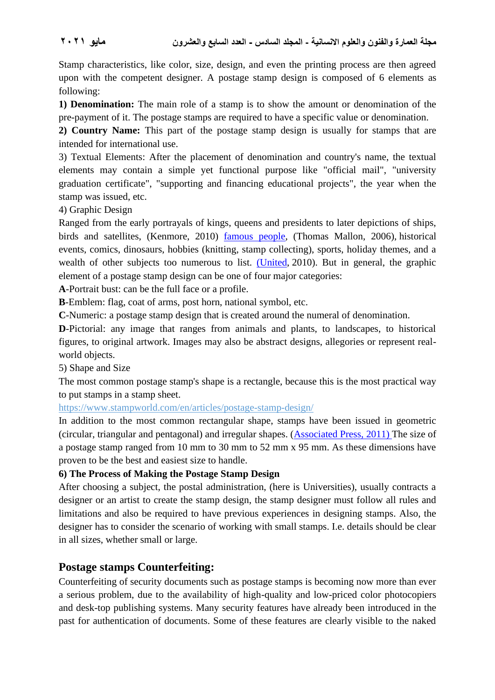Stamp characteristics, like color, size, design, and even the printing process are then agreed upon with the competent designer. A postage stamp design is composed of 6 elements as following:

**1) Denomination:** The main role of a stamp is to show the amount or denomination of the pre-payment of it. The postage stamps are required to have a specific value or denomination.

**2) Country Name:** This part of the postage stamp design is usually for stamps that are intended for international use.

3) Textual Elements: After the placement of denomination and country's name, the textual elements may contain a simple yet functional purpose like "official mail", "university graduation certificate", "supporting and financing educational projects", the year when the stamp was issued, etc.

4) Graphic Design

Ranged from the early portrayals of kings, queens and presidents to later depictions of ships, birds and satellites, (Kenmore, 2010) [famous people,](https://worddisk.com/wiki/List_of_people_on_stamps) (Thomas Mallon, 2006), historical events, comics, dinosaurs, hobbies (knitting, stamp collecting), sports, holiday themes, and a wealth of other subjects too numerous to list. [\(United,](https://web.archive.org/web/20110623183807/http:/www.usps.com/communications/news/stamps/2005/sr05_020.htm) 2010). But in general, the graphic element of a postage stamp design can be one of four major categories:

**A**-Portrait bust: can be the full face or a profile.

**B**-Emblem: flag, coat of arms, post horn, national symbol, etc.

**C**-Numeric: a postage stamp design that is created around the numeral of denomination.

**D**-Pictorial: any image that ranges from animals and plants, to landscapes, to historical figures, to original artwork. Images may also be abstract designs, allegories or represent realworld objects.

5) Shape and Size

The most common postage stamp's shape is a rectangle, because this is the most practical way to put stamps in a stamp sheet.

<https://www.stampworld.com/en/articles/postage-stamp-design/>

In addition to the most common rectangular shape, stamps have been issued in geometric (circular, triangular and pentagonal) and irregular shapes. (Associated Press, 2011) The size of a postage stamp ranged from 10 mm to 30 mm to 52 mm x 95 mm. As these dimensions have proven to be the best and easiest size to handle.

#### **6) The Process of Making the Postage Stamp Design**

After choosing a subject, the postal administration, (here is Universities), usually contracts a designer or an artist to create the stamp design, the stamp designer must follow all rules and limitations and also be required to have previous experiences in designing stamps. Also, the designer has to consider the scenario of working with small stamps. I.e. details should be clear in all sizes, whether small or large.

### **Postage stamps Counterfeiting:**

Counterfeiting of security documents such as postage stamps is becoming now more than ever a serious problem, due to the availability of high-quality and low-priced color photocopiers and desk-top publishing systems. Many security features have already been introduced in the past for authentication of documents. Some of these features are clearly visible to the naked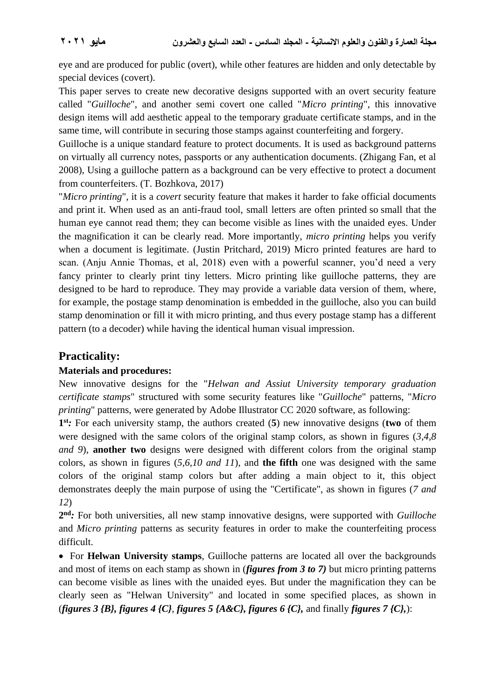eye and are produced for public (overt), while other features are hidden and only detectable by special devices (covert).

This paper serves to create new decorative designs supported with an overt security feature called "*Guilloche*", and another semi covert one called "*Micro printing*", this innovative design items will add aesthetic appeal to the temporary graduate certificate stamps, and in the same time, will contribute in securing those stamps against counterfeiting and forgery.

Guilloche is a unique standard feature to protect documents. It is used as background patterns on virtually all currency notes, passports or any authentication documents. (Zhigang Fan, et al 2008), Using a guilloche pattern as a background can be very effective to protect a document from counterfeiters. (T. Bozhkova, 2017)

"*Micro printing*", it is a *covert* security feature that makes it harder to fake official documents and print [it.](https://www.thebalance.com/how-to-check-a-check-315428) When used as an anti-fraud tool, small letters are often printed so small that the human eye cannot read them; they can become visible as lines with the unaided eyes. Under the magnification it can be clearly read. More importantly, *micro printing* helps you verify when a document is legitimate. [\(Justin Pritchard,](https://www.thebalance.com/justin-pritchard-314987) 2019) Micro printed features are hard to scan. (Anju Annie Thomas, et al, 2018) even with a powerful scanner, you'd need a very fancy printer to clearly print tiny letters. Micro printing like guilloche patterns, they are designed to be hard to reproduce. They may provide a variable data version of them, where, for example, the postage stamp denomination is embedded in the guilloche, also you can build stamp denomination or fill it with micro printing, and thus every postage stamp has a different pattern (to a decoder) while having the identical human visual impression.

## **Practicality:**

#### **Materials and procedures:**

New innovative designs for the "*Helwan and Assiut University temporary graduation certificate stamps*" structured with some security features like "*Guilloche*" patterns, "*Micro printing*" patterns, were generated by Adobe Illustrator CC 2020 software, as following:

**1 st***:* For each university stamp, the authors created (**5**) new innovative designs (**two** of them were designed with the same colors of the original stamp colors, as shown in figures (*3,4,8 and 9*), **another two** designs were designed with different colors from the original stamp colors, as shown in figures (*5,6,10 and 11*), and **the fifth** one was designed with the same colors of the original stamp colors but after adding a main object to it, this object demonstrates deeply the main purpose of using the "Certificate", as shown in figures (*7 and 12*)

**2 nd***:* For both universities, all new stamp innovative designs, were supported with *Guilloche* and *Micro printing* patterns as security features in order to make the counterfeiting process difficult.

• For **Helwan University stamps**, Guilloche patterns are located all over the backgrounds and most of items on each stamp as shown in (*figures from 3 to 7)* but micro printing patterns can become visible as lines with the unaided eyes. But under the magnification they can be clearly seen as "Helwan University" and located in some specified places, as shown in (*figures 3 {B}, figures 4 {C}*, *figures 5 {A&C}, figures 6 {C},* and finally *figures 7 {C},*):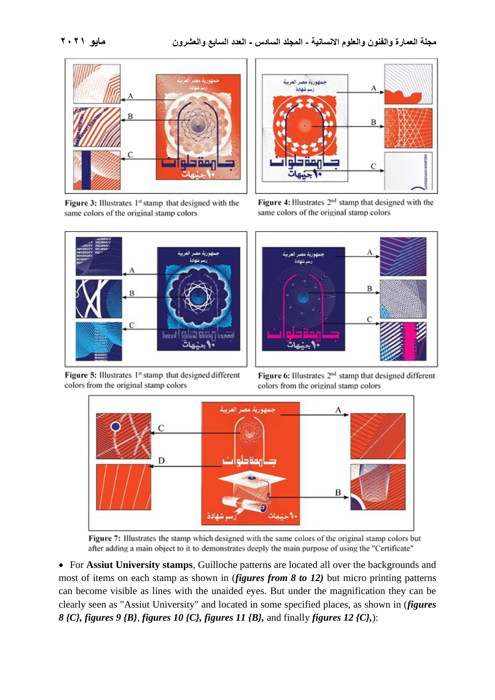

Figure 3: Illustrates  $1<sup>st</sup>$  stamp that designed with the same colors of the original stamp colors



Figure 4: Illustrates  $2^{nd}$  stamp that designed with the same colors of the original stamp colors

B



Figure 5: Illustrates 1st stamp that designed different colors from the original stamp colors

Figure 6: Illustrates  $2<sup>nd</sup>$  stamp that designed different colors from the original stamp colors



Figure 7: Illustrates the stamp which designed with the same colors of the original stamp colors but after adding a main object to it to demonstrates deeply the main purpose of using the "Certificate"

• For **Assiut University stamps**, Guilloche patterns are located all over the backgrounds and most of items on each stamp as shown in (*figures from 8 to 12)* but micro printing patterns can become visible as lines with the unaided eyes. But under the magnification they can be clearly seen as "Assiut University" and located in some specified places, as shown in (*figures 8 {C}, figures 9 {B}*, *figures 10 {C}, figures 11 {B},* and finally *figures 12 {C},*):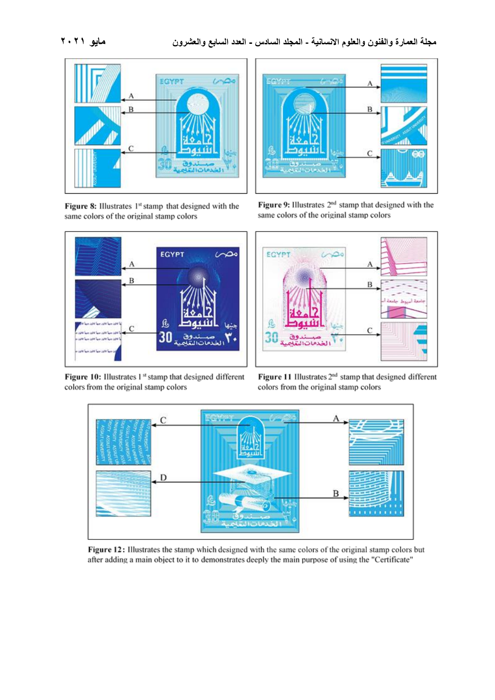

Figure 8: Illustrates 1st stamp that designed with the same colors of the original stamp colors



EGYM в

Figure 9: Illustrates 2<sup>nd</sup> stamp that designed with the same colors of the original stamp colors



Figure 10: Illustrates 1st stamp that designed different colors from the original stamp colors

Figure 11 Illustrates 2<sup>nd</sup> stamp that designed different colors from the original stamp colors



Figure 12: Illustrates the stamp which designed with the same colors of the original stamp colors but after adding a main object to it to demonstrates deeply the main purpose of using the "Certificate"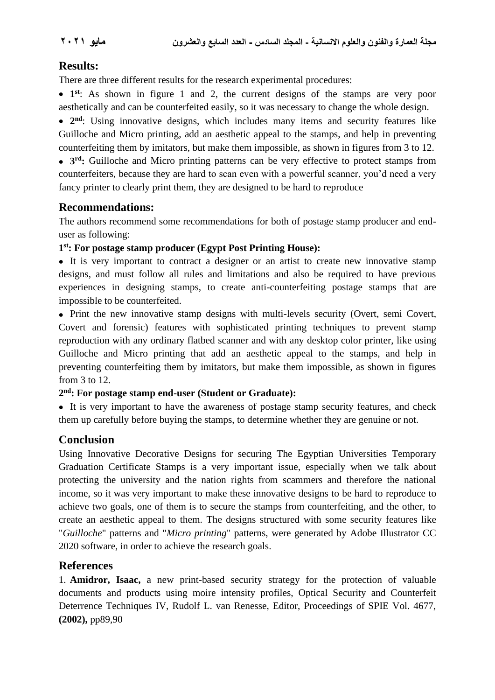## **Results:**

There are three different results for the research experimental procedures:

• **1 st**: As shown in figure 1 and 2, the current designs of the stamps are very poor aesthetically and can be counterfeited easily, so it was necessary to change the whole design.

• **2 nd**: Using innovative designs, which includes many items and security features like Guilloche and Micro printing, add an aesthetic appeal to the stamps, and help in preventing counterfeiting them by imitators, but make them impossible, as shown in figures from 3 to 12.

• **3 rd:** Guilloche and Micro printing patterns can be very effective to protect stamps from counterfeiters, because they are hard to scan even with a powerful scanner, you'd need a very fancy printer to clearly print them, they are designed to be hard to reproduce

## **Recommendations:**

The authors recommend some recommendations for both of postage stamp producer and enduser as following:

### **1 st: For postage stamp producer (Egypt Post Printing House):**

• It is very important to contract a designer or an artist to create new innovative stamp designs, and must follow all rules and limitations and also be required to have previous experiences in designing stamps, to create anti-counterfeiting postage stamps that are impossible to be counterfeited.

• Print the new innovative stamp designs with multi-levels security (Overt, semi Covert, Covert and forensic) features with sophisticated printing techniques to prevent stamp reproduction with any ordinary flatbed scanner and with any desktop color printer, like using Guilloche and Micro printing that add an aesthetic appeal to the stamps, and help in preventing counterfeiting them by imitators, but make them impossible, as shown in figures from 3 to 12.

### **2 nd: For postage stamp end-user (Student or Graduate):**

• It is very important to have the awareness of postage stamp security features, and check them up carefully before buying the stamps, to determine whether they are genuine or not.

## **Conclusion**

Using Innovative Decorative Designs for securing The Egyptian Universities Temporary Graduation Certificate Stamps is a very important issue, especially when we talk about protecting the university and the nation rights from scammers and therefore the national income, so it was very important to make these innovative designs to be hard to reproduce to achieve two goals, one of them is to secure the stamps from counterfeiting, and the other, to create an aesthetic appeal to them. The designs structured with some security features like "*Guilloche*" patterns and "*Micro printing*" patterns, were generated by Adobe Illustrator CC 2020 software, in order to achieve the research goals.

## **References**

1. **Amidror, Isaac,** a new print-based security strategy for the protection of valuable documents and products using moire intensity profiles, Optical Security and Counterfeit Deterrence Techniques IV, Rudolf L. van Renesse, Editor, Proceedings of SPIE Vol. 4677, **(2002),** pp89,90